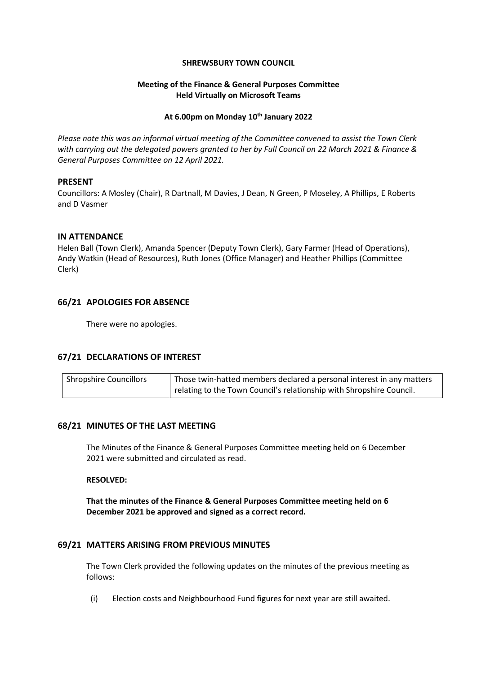#### **SHREWSBURY TOWN COUNCIL**

### **Meeting of the Finance & General Purposes Committee Held Virtually on Microsoft Teams**

#### **At 6.00pm on Monday 10th January 2022**

*Please note this was an informal virtual meeting of the Committee convened to assist the Town Clerk with carrying out the delegated powers granted to her by Full Council on 22 March 2021 & Finance & General Purposes Committee on 12 April 2021.*

### **PRESENT**

Councillors: A Mosley (Chair), R Dartnall, M Davies, J Dean, N Green, P Moseley, A Phillips, E Roberts and D Vasmer

## **IN ATTENDANCE**

Helen Ball (Town Clerk), Amanda Spencer (Deputy Town Clerk), Gary Farmer (Head of Operations), Andy Watkin (Head of Resources), Ruth Jones (Office Manager) and Heather Phillips (Committee Clerk)

# **66/21 APOLOGIES FOR ABSENCE**

There were no apologies.

# **67/21 DECLARATIONS OF INTEREST**

| <b>Shropshire Councillors</b> | Those twin-hatted members declared a personal interest in any matters |
|-------------------------------|-----------------------------------------------------------------------|
|                               | relating to the Town Council's relationship with Shropshire Council.  |

### **68/21 MINUTES OF THE LAST MEETING**

The Minutes of the Finance & General Purposes Committee meeting held on 6 December 2021 were submitted and circulated as read.

### **RESOLVED:**

**That the minutes of the Finance & General Purposes Committee meeting held on 6 December 2021 be approved and signed as a correct record.**

# **69/21 MATTERS ARISING FROM PREVIOUS MINUTES**

The Town Clerk provided the following updates on the minutes of the previous meeting as follows:

(i) Election costs and Neighbourhood Fund figures for next year are still awaited.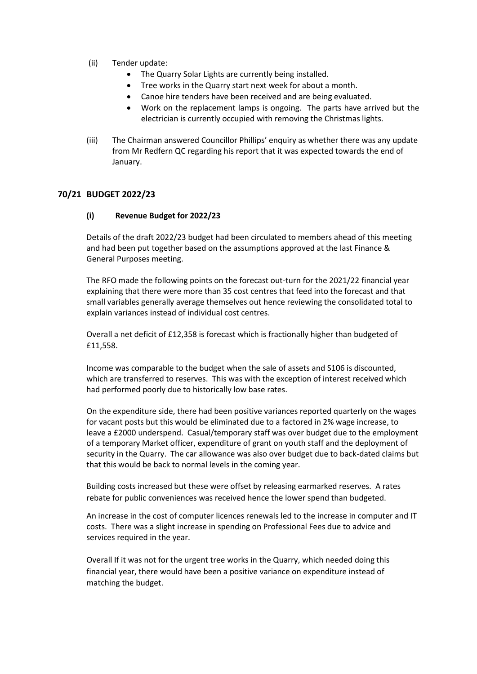- (ii) Tender update:
	- The Quarry Solar Lights are currently being installed.
	- Tree works in the Quarry start next week for about a month.
	- Canoe hire tenders have been received and are being evaluated.
	- Work on the replacement lamps is ongoing. The parts have arrived but the electrician is currently occupied with removing the Christmas lights.
- (iii) The Chairman answered Councillor Phillips' enquiry as whether there was any update from Mr Redfern QC regarding his report that it was expected towards the end of January.

## **70/21 BUDGET 2022/23**

### **(i) Revenue Budget for 2022/23**

Details of the draft 2022/23 budget had been circulated to members ahead of this meeting and had been put together based on the assumptions approved at the last Finance & General Purposes meeting.

The RFO made the following points on the forecast out-turn for the 2021/22 financial year explaining that there were more than 35 cost centres that feed into the forecast and that small variables generally average themselves out hence reviewing the consolidated total to explain variances instead of individual cost centres.

Overall a net deficit of £12,358 is forecast which is fractionally higher than budgeted of £11,558.

Income was comparable to the budget when the sale of assets and S106 is discounted, which are transferred to reserves. This was with the exception of interest received which had performed poorly due to historically low base rates.

On the expenditure side, there had been positive variances reported quarterly on the wages for vacant posts but this would be eliminated due to a factored in 2% wage increase, to leave a £2000 underspend. Casual/temporary staff was over budget due to the employment of a temporary Market officer, expenditure of grant on youth staff and the deployment of security in the Quarry. The car allowance was also over budget due to back-dated claims but that this would be back to normal levels in the coming year.

Building costs increased but these were offset by releasing earmarked reserves. A rates rebate for public conveniences was received hence the lower spend than budgeted.

An increase in the cost of computer licences renewals led to the increase in computer and IT costs. There was a slight increase in spending on Professional Fees due to advice and services required in the year.

Overall If it was not for the urgent tree works in the Quarry, which needed doing this financial year, there would have been a positive variance on expenditure instead of matching the budget.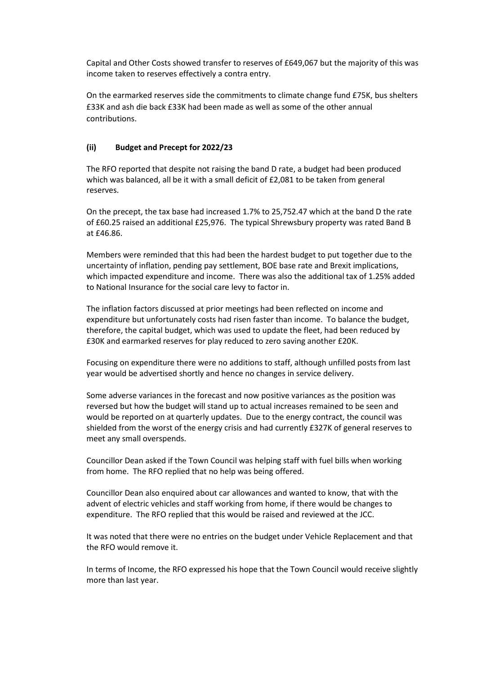Capital and Other Costs showed transfer to reserves of £649,067 but the majority of this was income taken to reserves effectively a contra entry.

On the earmarked reserves side the commitments to climate change fund £75K, bus shelters £33K and ash die back £33K had been made as well as some of the other annual contributions.

## **(ii) Budget and Precept for 2022/23**

The RFO reported that despite not raising the band D rate, a budget had been produced which was balanced, all be it with a small deficit of £2,081 to be taken from general reserves.

On the precept, the tax base had increased 1.7% to 25,752.47 which at the band D the rate of £60.25 raised an additional £25,976. The typical Shrewsbury property was rated Band B at £46.86.

Members were reminded that this had been the hardest budget to put together due to the uncertainty of inflation, pending pay settlement, BOE base rate and Brexit implications, which impacted expenditure and income. There was also the additional tax of 1.25% added to National Insurance for the social care levy to factor in.

The inflation factors discussed at prior meetings had been reflected on income and expenditure but unfortunately costs had risen faster than income. To balance the budget, therefore, the capital budget, which was used to update the fleet, had been reduced by £30K and earmarked reserves for play reduced to zero saving another £20K.

Focusing on expenditure there were no additions to staff, although unfilled posts from last year would be advertised shortly and hence no changes in service delivery.

Some adverse variances in the forecast and now positive variances as the position was reversed but how the budget will stand up to actual increases remained to be seen and would be reported on at quarterly updates. Due to the energy contract, the council was shielded from the worst of the energy crisis and had currently £327K of general reserves to meet any small overspends.

Councillor Dean asked if the Town Council was helping staff with fuel bills when working from home. The RFO replied that no help was being offered.

Councillor Dean also enquired about car allowances and wanted to know, that with the advent of electric vehicles and staff working from home, if there would be changes to expenditure. The RFO replied that this would be raised and reviewed at the JCC.

It was noted that there were no entries on the budget under Vehicle Replacement and that the RFO would remove it.

In terms of Income, the RFO expressed his hope that the Town Council would receive slightly more than last year.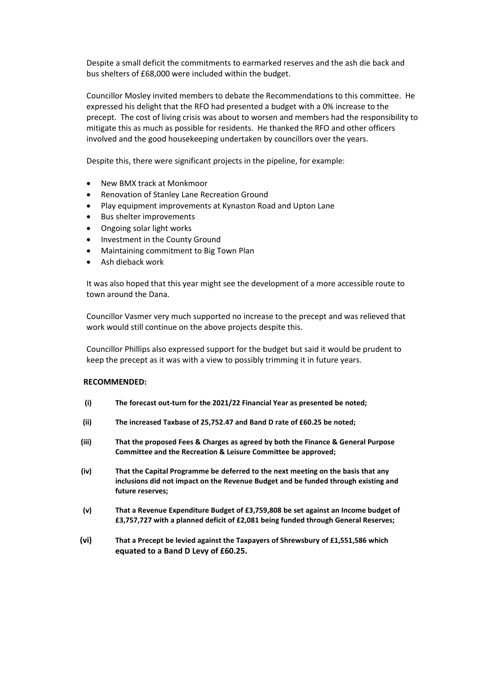Despite a small deficit the commitments to earmarked reserves and the ash die back and bus shelters of £68,000 were included within the budget.

Councillor Mosley invited members to debate the Recommendations to this committee. He expressed his delight that the RFO had presented a budget with a 0% increase to the precept. The cost of living crisis was about to worsen and members had the responsibility to mitigate this as much as possible for residents. He thanked the RFO and other officers involved and the good housekeeping undertaken by councillors over the years.

Despite this, there were significant projects in the pipeline, for example:

- New BMX track at Monkmoor
- Renovation of Stanley Lane Recreation Ground
- Play equipment improvements at Kynaston Road and Upton Lane
- Bus shelter improvements
- Ongoing solar light works
- Investment in the County Ground
- Maintaining commitment to Big Town Plan
- Ash dieback work

It was also hoped that this year might see the development of a more accessible route to town around the Dana.

Councillor Vasmer very much supported no increase to the precept and was relieved that work would still continue on the above projects despite this.

Councillor Phillips also expressed support for the budget but said it would be prudent to keep the precept as it was with a view to possibly trimming it in future years.

### **RECOMMENDED:**

- **(i) The forecast out-turn for the 2021/22 Financial Year as presented be noted;**
- **(ii) The increased Taxbase of 25,752.47 and Band D rate of £60.25 be noted;**
- **(iii) That the proposed Fees & Charges as agreed by both the Finance & General Purpose Committee and the Recreation & Leisure Committee be approved;**
- **(iv) That the Capital Programme be deferred to the next meeting on the basis that any inclusions did not impact on the Revenue Budget and be funded through existing and future reserves;**
- **(v) That a Revenue Expenditure Budget of £3,759,808 be set against an Income budget of £3,757,727 with a planned deficit of £2,081 being funded through General Reserves;**
- **(vi) That a Precept be levied against the Taxpayers of Shrewsbury of £1,551,586 which equated to a Band D Levy of £60.25.**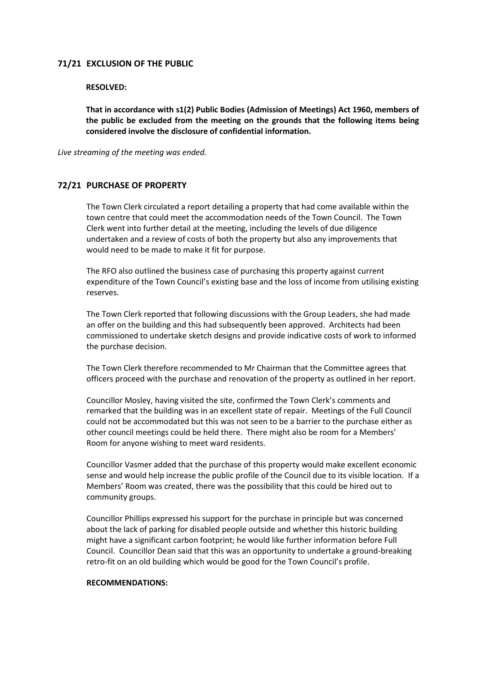## **71/21 EXCLUSION OF THE PUBLIC**

#### **RESOLVED:**

**That in accordance with s1(2) Public Bodies (Admission of Meetings) Act 1960, members of the public be excluded from the meeting on the grounds that the following items being considered involve the disclosure of confidential information.**

*Live streaming of the meeting was ended.*

### **72/21 PURCHASE OF PROPERTY**

The Town Clerk circulated a report detailing a property that had come available within the town centre that could meet the accommodation needs of the Town Council. The Town Clerk went into further detail at the meeting, including the levels of due diligence undertaken and a review of costs of both the property but also any improvements that would need to be made to make it fit for purpose.

The RFO also outlined the business case of purchasing this property against current expenditure of the Town Council's existing base and the loss of income from utilising existing reserves.

The Town Clerk reported that following discussions with the Group Leaders, she had made an offer on the building and this had subsequently been approved. Architects had been commissioned to undertake sketch designs and provide indicative costs of work to informed the purchase decision.

The Town Clerk therefore recommended to Mr Chairman that the Committee agrees that officers proceed with the purchase and renovation of the property as outlined in her report.

Councillor Mosley, having visited the site, confirmed the Town Clerk's comments and remarked that the building was in an excellent state of repair. Meetings of the Full Council could not be accommodated but this was not seen to be a barrier to the purchase either as other council meetings could be held there. There might also be room for a Members' Room for anyone wishing to meet ward residents.

Councillor Vasmer added that the purchase of this property would make excellent economic sense and would help increase the public profile of the Council due to its visible location. If a Members' Room was created, there was the possibility that this could be hired out to community groups.

Councillor Phillips expressed his support for the purchase in principle but was concerned about the lack of parking for disabled people outside and whether this historic building might have a significant carbon footprint; he would like further information before Full Council. Councillor Dean said that this was an opportunity to undertake a ground-breaking retro-fit on an old building which would be good for the Town Council's profile.

### **RECOMMENDATIONS:**